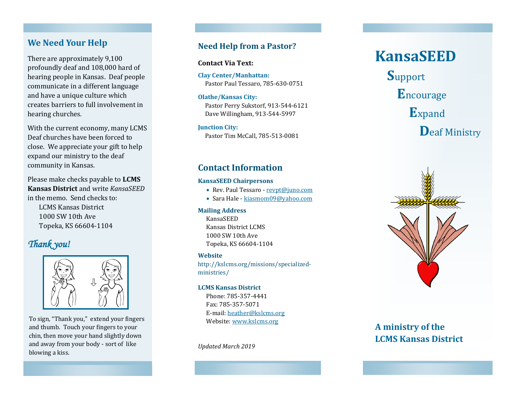## **We Need Your Help**

There are approximately 9,100 profoundly deaf and 108,000 hard of hearing people in Kansas. Deaf people communicate in a different language and have a unique culture which creates barriers to full involvement in hearing churches.

With the current economy, many LCMS Deaf churches have been forced to close. We appreciate your gift to help expand our ministry to the deaf community in Kansas.

Please make checks payable to **LCMS Kansas District** and write *KansaSEED* in the memo. Send checks to: LCMS Kansas District 1000 SW 10th Ave Topeka, KS 66604 -1104

## *Thank you!*



To sign, "Thank you," extend your fingers and thumb. Touch your fingers to your chin, then move your hand slightly down and away from your body - sort of like blowing a kiss.

## **Need Help from a Pastor?**

**Contact Via Text:**

**Clay Center/Manhattan:**  Pastor Paul Tessaro, 785 -630 -0751

## **Olathe/Kansas City:**

 Pastor Perry Sukstorf, 913 -544 -6121 Dave Willingham, 913 -544 -5997

#### **Junction City:**

Pastor Tim McCall, 785 -513 -0081

## **Contact Information**

### **KansaSEED Chairpersons**

- Rev. Paul Tessaro [revpt@juno.com](mailto:revpt@juno.com)
- Sara Hale [kiasmom09@yahoo.com](mailto:kiasmom09@yahoo.com)

### **Mailing Address**

KansaSEED Kansas District LCMS 1000 SW 10th Ave Topeka, KS 66604 -1104

### **Website**

http://kslcms.org/missions/specialized ministries/

### **LCMS Kansas District**

Phone: 785 -357 -4441 Fax: 785 -357 -5071 E-mail: [heather@kslcms.org](mailto:heather@kslcms.org) Website: [www.kslcms.org](http://www.kslcms.org)

*Updated March 2019*

# **KansaSEED**

**S**upport **E**ncourage **E**xpand **D**eaf Ministry



# **A ministry of the LCMS Kansas District**